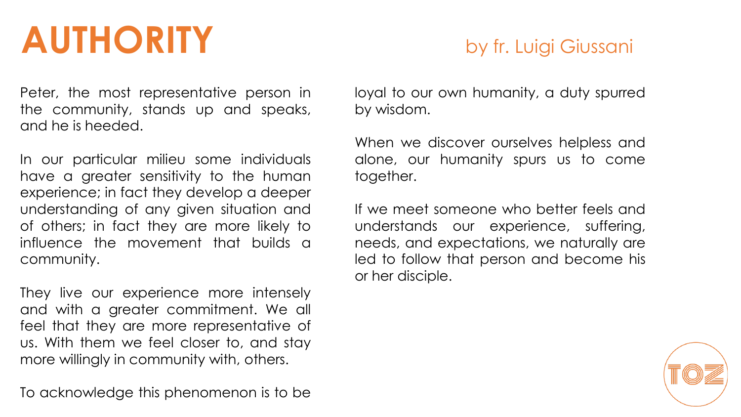## **AUTHORITY** by fr. Luigi Giussani

Peter, the most representative person in the community, stands up and speaks, and he is heeded.

In our particular milieu some individuals have a greater sensitivity to the human experience; in fact they develop a deeper understanding of any given situation and of others; in fact they are more likely to influence the movement that builds a community.

They live our experience more intensely and with a greater commitment. We all feel that they are more representative of us. With them we feel closer to, and stay more willingly in community with, others.

To acknowledge this phenomenon is to be

loyal to our own humanity, a duty spurred by wisdom.

When we discover ourselves helpless and alone, our humanity spurs us to come together.

If we meet someone who better feels and understands our experience, suffering, needs, and expectations, we naturally are led to follow that person and become his or her disciple.

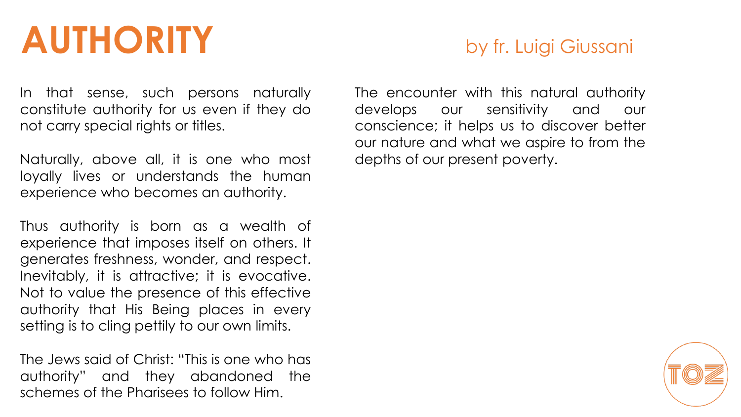## **AUTHORITY** by fr. Luigi Giussani

In that sense, such persons naturally constitute authority for us even if they do not carry special rights or titles.

Naturally, above all, it is one who most loyally lives or understands the human experience who becomes an authority.

Thus authority is born as a wealth of experience that imposes itself on others. It generates freshness, wonder, and respect. Inevitably, it is attractive; it is evocative. Not to value the presence of this effective authority that His Being places in every setting is to cling pettily to our own limits.

The Jews said of Christ: "This is one who has authority" and they abandoned the schemes of the Pharisees to follow Him.

The encounter with this natural authority develops our sensitivity and our conscience; it helps us to discover better our nature and what we aspire to from the depths of our present poverty.